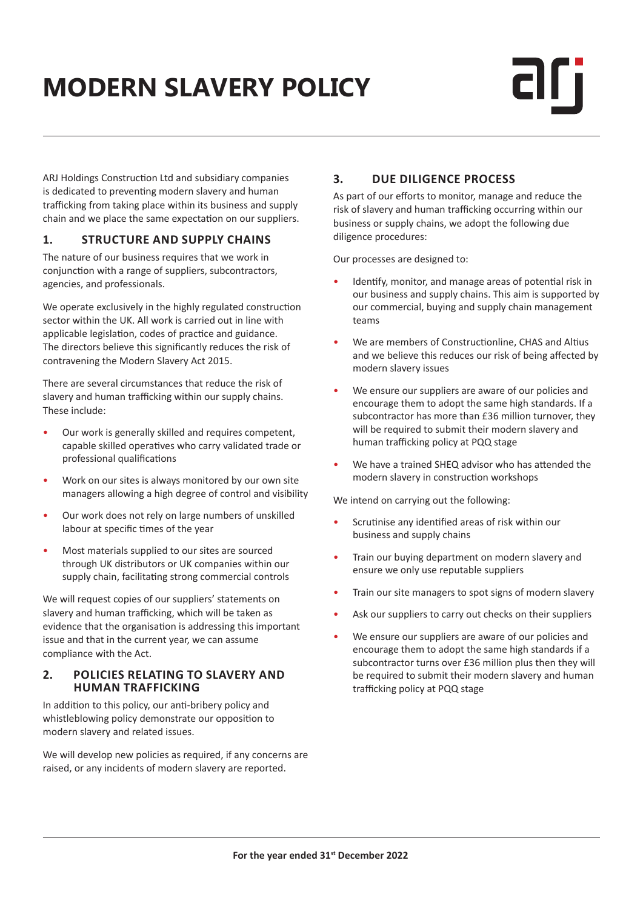# **MODERN SLAVERY POLICY**

ARJ Holdings Construction Ltd and subsidiary companies is dedicated to preventing modern slavery and human trafficking from taking place within its business and supply chain and we place the same expectation on our suppliers.

### **1. STRUCTURE AND SUPPLY CHAINS**

The nature of our business requires that we work in conjunction with a range of suppliers, subcontractors, agencies, and professionals.

We operate exclusively in the highly regulated construction sector within the UK. All work is carried out in line with applicable legislation, codes of practice and guidance. The directors believe this significantly reduces the risk of contravening the Modern Slavery Act 2015.

There are several circumstances that reduce the risk of slavery and human trafficking within our supply chains. These include:

- Our work is generally skilled and requires competent, capable skilled operatives who carry validated trade or professional qualifications
- Work on our sites is always monitored by our own site managers allowing a high degree of control and visibility
- Our work does not rely on large numbers of unskilled labour at specific times of the year
- Most materials supplied to our sites are sourced through UK distributors or UK companies within our supply chain, facilitating strong commercial controls

We will request copies of our suppliers' statements on slavery and human trafficking, which will be taken as evidence that the organisation is addressing this important issue and that in the current year, we can assume compliance with the Act.

#### **2. POLICIES RELATING TO SLAVERY AND HUMAN TRAFFICKING**

In addition to this policy, our anti-bribery policy and whistleblowing policy demonstrate our opposition to modern slavery and related issues.

We will develop new policies as required, if any concerns are raised, or any incidents of modern slavery are reported.

## **3. DUE DILIGENCE PROCESS**

As part of our efforts to monitor, manage and reduce the risk of slavery and human trafficking occurring within our business or supply chains, we adopt the following due diligence procedures:

Our processes are designed to:

- Identify, monitor, and manage areas of potential risk in our business and supply chains. This aim is supported by our commercial, buying and supply chain management teams
- We are members of Constructionline, CHAS and Altius and we believe this reduces our risk of being affected by modern slavery issues
- We ensure our suppliers are aware of our policies and encourage them to adopt the same high standards. If a subcontractor has more than £36 million turnover, they will be required to submit their modern slavery and human trafficking policy at PQQ stage
- We have a trained SHEQ advisor who has attended the modern slavery in construction workshops

We intend on carrying out the following:

- Scrutinise any identified areas of risk within our business and supply chains
- Train our buying department on modern slavery and ensure we only use reputable suppliers
- Train our site managers to spot signs of modern slavery
- Ask our suppliers to carry out checks on their suppliers
- We ensure our suppliers are aware of our policies and encourage them to adopt the same high standards if a subcontractor turns over £36 million plus then they will be required to submit their modern slavery and human trafficking policy at PQQ stage